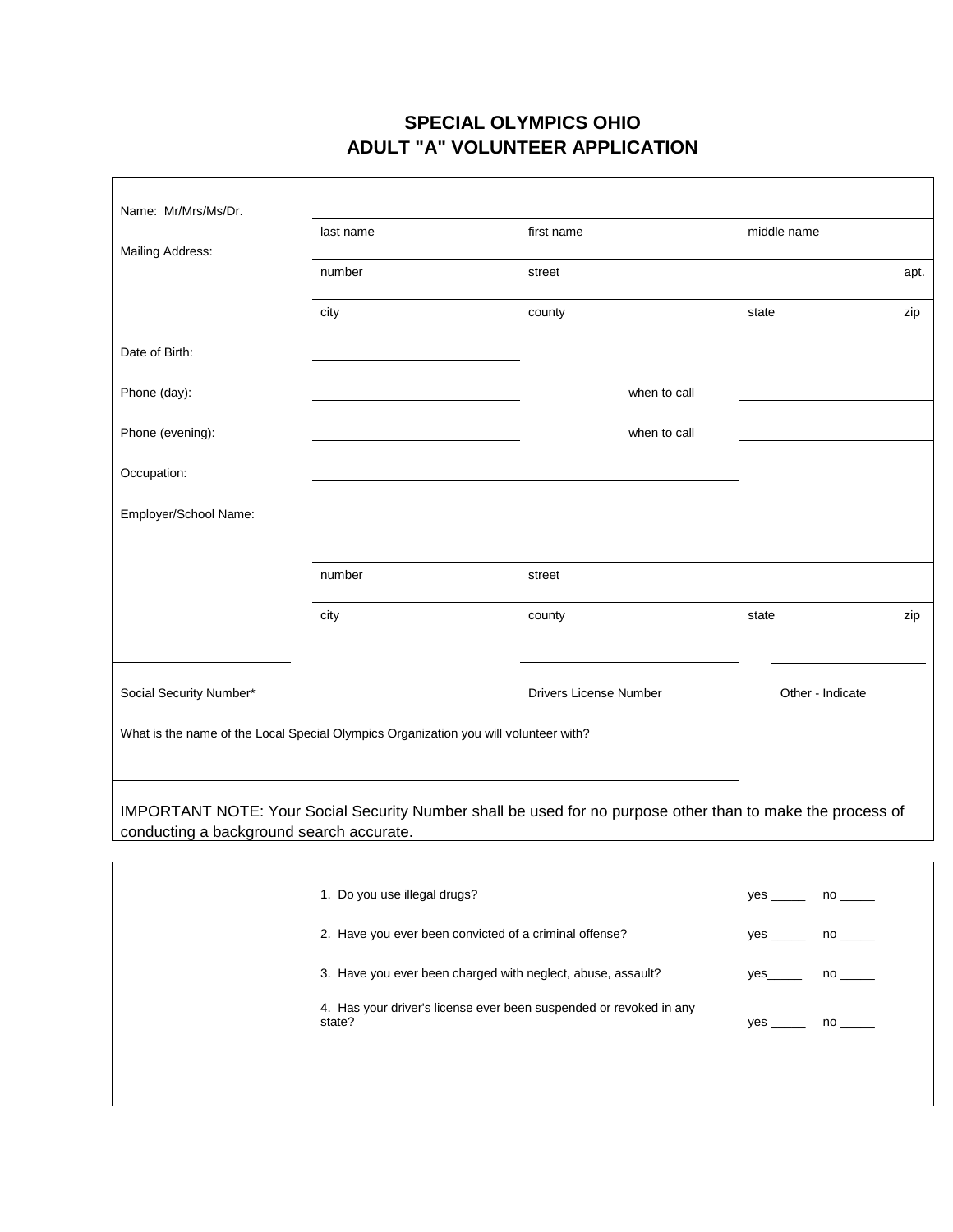#### **SPECIAL OLYMPICS OHIO ADULT "A" VOLUNTEER APPLICATION**

┑

 $\Gamma$ 

| Name: Mr/Mrs/Ms/Dr.                                                                  |           |                               |                                                                                                            |      |
|--------------------------------------------------------------------------------------|-----------|-------------------------------|------------------------------------------------------------------------------------------------------------|------|
|                                                                                      | last name | first name                    | middle name                                                                                                |      |
| Mailing Address:                                                                     | number    | street                        |                                                                                                            | apt. |
|                                                                                      | city      | county                        | state                                                                                                      | zip  |
| Date of Birth:                                                                       |           |                               |                                                                                                            |      |
| Phone (day):                                                                         |           | when to call                  |                                                                                                            |      |
| Phone (evening):                                                                     |           | when to call                  |                                                                                                            |      |
| Occupation:                                                                          |           |                               |                                                                                                            |      |
| Employer/School Name:                                                                |           |                               |                                                                                                            |      |
|                                                                                      |           |                               |                                                                                                            |      |
|                                                                                      | number    | street                        |                                                                                                            |      |
|                                                                                      | city      | county                        | state                                                                                                      | zip  |
|                                                                                      |           |                               |                                                                                                            |      |
| Social Security Number*                                                              |           | <b>Drivers License Number</b> | Other - Indicate                                                                                           |      |
| What is the name of the Local Special Olympics Organization you will volunteer with? |           |                               |                                                                                                            |      |
|                                                                                      |           |                               |                                                                                                            |      |
| conducting a background search accurate.                                             |           |                               | IMPORTANT NOTE: Your Social Security Number shall be used for no purpose other than to make the process of |      |
|                                                                                      |           |                               |                                                                                                            |      |

| 1. Do you use illegal drugs?                                                 | yes _____            | $no \_\_$ |
|------------------------------------------------------------------------------|----------------------|-----------|
| 2. Have you ever been convicted of a criminal offense?                       | $yes \_\_ no \_\_\_$ |           |
| 3. Have you ever been charged with neglect, abuse, assault?                  |                      | $no \_\_$ |
| 4. Has your driver's license ever been suspended or revoked in any<br>state? | $yes \_\_$           | $no \_\_$ |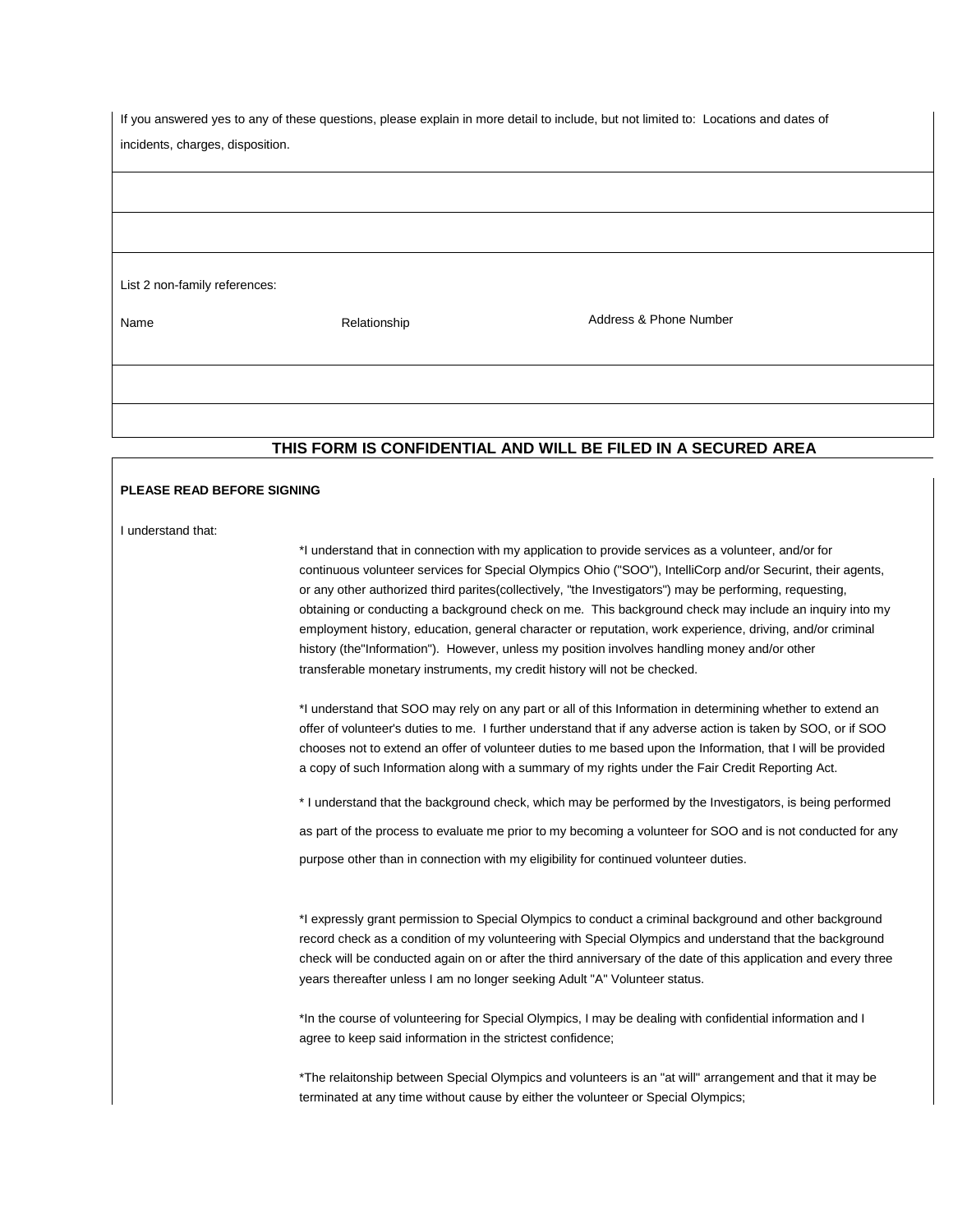| If you answered yes to any of these questions, please explain in more detail to include, but not limited to: Locations and dates of |              |                        |  |
|-------------------------------------------------------------------------------------------------------------------------------------|--------------|------------------------|--|
| incidents, charges, disposition.                                                                                                    |              |                        |  |
|                                                                                                                                     |              |                        |  |
|                                                                                                                                     |              |                        |  |
|                                                                                                                                     |              |                        |  |
|                                                                                                                                     |              |                        |  |
|                                                                                                                                     |              |                        |  |
|                                                                                                                                     |              |                        |  |
| List 2 non-family references:                                                                                                       |              |                        |  |
|                                                                                                                                     |              |                        |  |
| Name                                                                                                                                | Relationship | Address & Phone Number |  |
|                                                                                                                                     |              |                        |  |
|                                                                                                                                     |              |                        |  |
|                                                                                                                                     |              |                        |  |
|                                                                                                                                     |              |                        |  |
|                                                                                                                                     |              |                        |  |
| THIS FORM IS CONFIDENTIAL AND WILL BE FILED IN A SECURED AREA                                                                       |              |                        |  |

#### **PLEASE READ BEFORE SIGNING**

I understand that:

\*I understand that in connection with my application to provide services as a volunteer, and/or for continuous volunteer services for Special Olympics Ohio ("SOO"), IntelliCorp and/or Securint, their agents, or any other authorized third parites(collectively, "the Investigators") may be performing, requesting, obtaining or conducting a background check on me. This background check may include an inquiry into my employment history, education, general character or reputation, work experience, driving, and/or criminal history (the"Information"). However, unless my position involves handling money and/or other transferable monetary instruments, my credit history will not be checked.

\*I understand that SOO may rely on any part or all of this Information in determining whether to extend an offer of volunteer's duties to me. I further understand that if any adverse action is taken by SOO, or if SOO chooses not to extend an offer of volunteer duties to me based upon the Information, that I will be provided a copy of such Information along with a summary of my rights under the Fair Credit Reporting Act.

\* I understand that the background check, which may be performed by the Investigators, is being performed

as part of the process to evaluate me prior to my becoming a volunteer for SOO and is not conducted for any

purpose other than in connection with my eligibility for continued volunteer duties.

\*I expressly grant permission to Special Olympics to conduct a criminal background and other background record check as a condition of my volunteering with Special Olympics and understand that the background check will be conducted again on or after the third anniversary of the date of this application and every three years thereafter unless I am no longer seeking Adult "A" Volunteer status.

\*In the course of volunteering for Special Olympics, I may be dealing with confidential information and I agree to keep said information in the strictest confidence;

\*The relaitonship between Special Olympics and volunteers is an "at will" arrangement and that it may be terminated at any time without cause by either the volunteer or Special Olympics;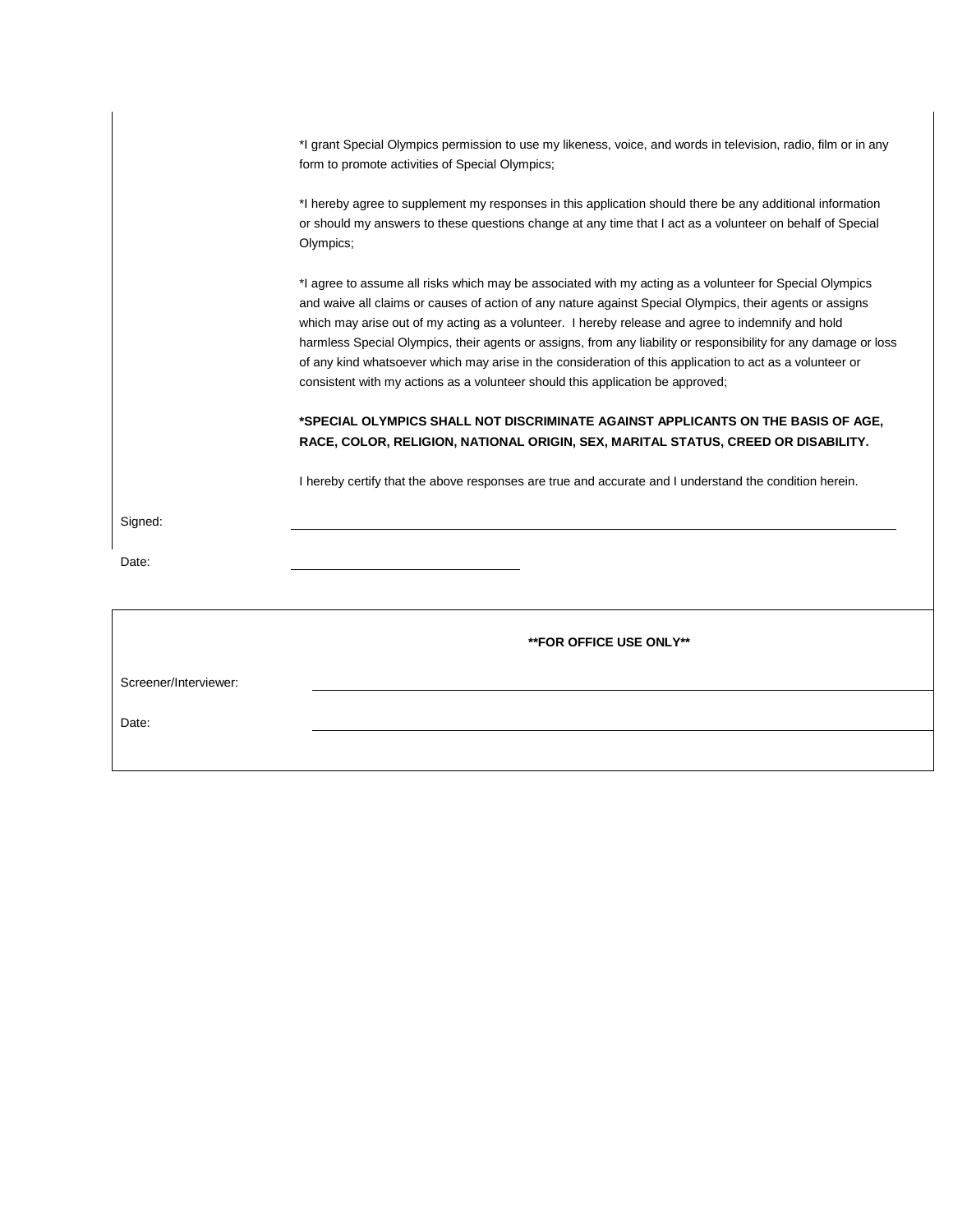| *I grant Special Olympics permission to use my likeness, voice, and words in television, radio, film or in any |  |
|----------------------------------------------------------------------------------------------------------------|--|
| form to promote activities of Special Olympics;                                                                |  |

\*I hereby agree to supplement my responses in this application should there be any additional information or should my answers to these questions change at any time that I act as a volunteer on behalf of Special Olympics;

\*I agree to assume all risks which may be associated with my acting as a volunteer for Special Olympics and waive all claims or causes of action of any nature against Special Olympics, their agents or assigns which may arise out of my acting as a volunteer. I hereby release and agree to indemnify and hold harmless Special Olympics, their agents or assigns, from any liability or responsibility for any damage or loss of any kind whatsoever which may arise in the consideration of this application to act as a volunteer or consistent with my actions as a volunteer should this application be approved;

#### **\*SPECIAL OLYMPICS SHALL NOT DISCRIMINATE AGAINST APPLICANTS ON THE BASIS OF AGE, RACE, COLOR, RELIGION, NATIONAL ORIGIN, SEX, MARITAL STATUS, CREED OR DISABILITY.**

I hereby certify that the above responses are true and accurate and I understand the condition herein.

Signed:

Date:

|                       | <b>**FOR OFFICE USE ONLY**</b> |
|-----------------------|--------------------------------|
| Screener/Interviewer: |                                |
| Date:                 |                                |
|                       |                                |
|                       |                                |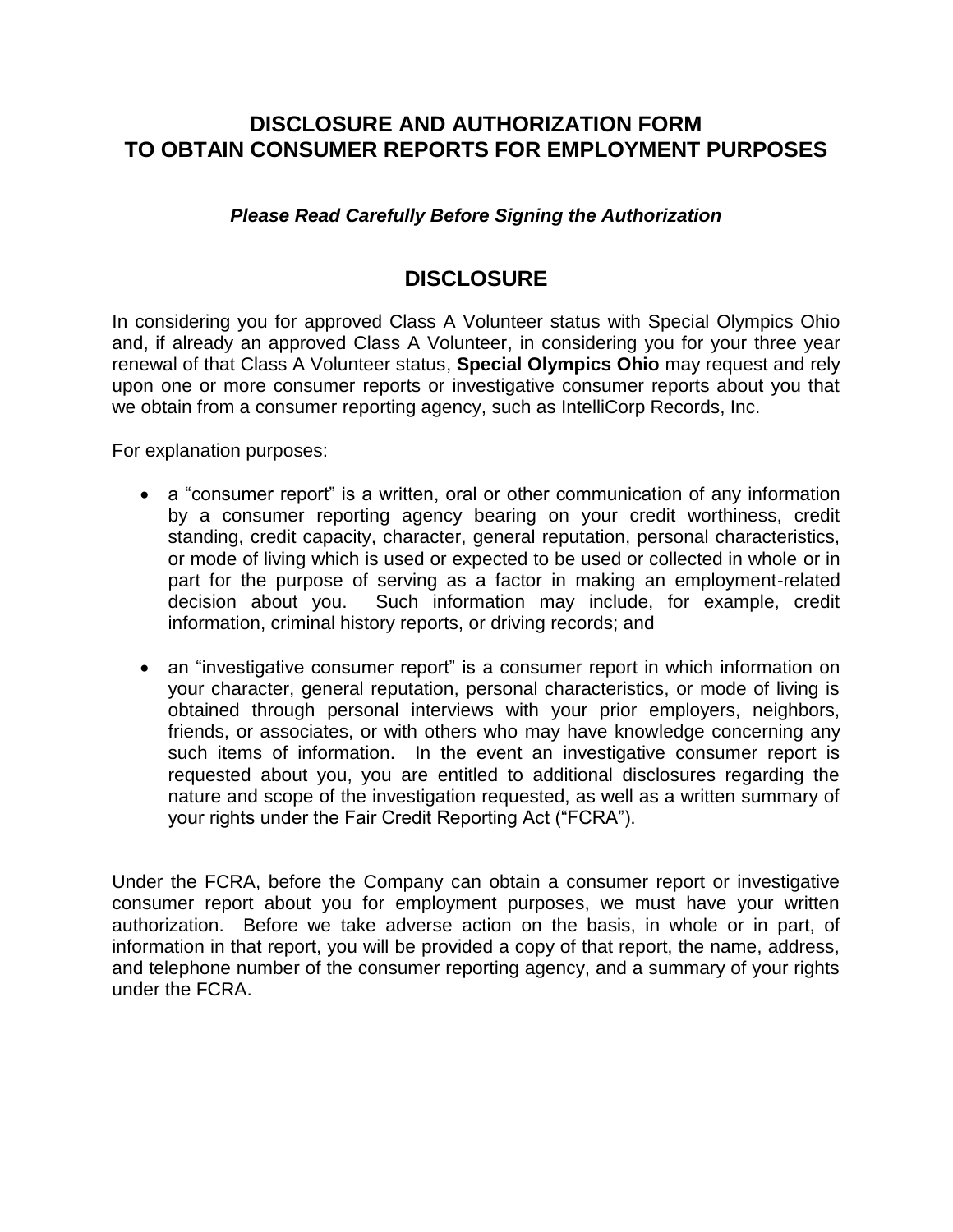## **DISCLOSURE AND AUTHORIZATION FORM TO OBTAIN CONSUMER REPORTS FOR EMPLOYMENT PURPOSES**

*Please Read Carefully Before Signing the Authorization*

## **DISCLOSURE**

In considering you for approved Class A Volunteer status with Special Olympics Ohio and, if already an approved Class A Volunteer, in considering you for your three year renewal of that Class A Volunteer status, **Special Olympics Ohio** may request and rely upon one or more consumer reports or investigative consumer reports about you that we obtain from a consumer reporting agency, such as IntelliCorp Records, Inc.

For explanation purposes:

- a "consumer report" is a written, oral or other communication of any information by a consumer reporting agency bearing on your credit worthiness, credit standing, credit capacity, character, general reputation, personal characteristics, or mode of living which is used or expected to be used or collected in whole or in part for the purpose of serving as a factor in making an employment-related decision about you. Such information may include, for example, credit information, criminal history reports, or driving records; and
- an "investigative consumer report" is a consumer report in which information on your character, general reputation, personal characteristics, or mode of living is obtained through personal interviews with your prior employers, neighbors, friends, or associates, or with others who may have knowledge concerning any such items of information. In the event an investigative consumer report is requested about you, you are entitled to additional disclosures regarding the nature and scope of the investigation requested, as well as a written summary of your rights under the Fair Credit Reporting Act ("FCRA").

Under the FCRA, before the Company can obtain a consumer report or investigative consumer report about you for employment purposes, we must have your written authorization. Before we take adverse action on the basis, in whole or in part, of information in that report, you will be provided a copy of that report, the name, address, and telephone number of the consumer reporting agency, and a summary of your rights under the FCRA.